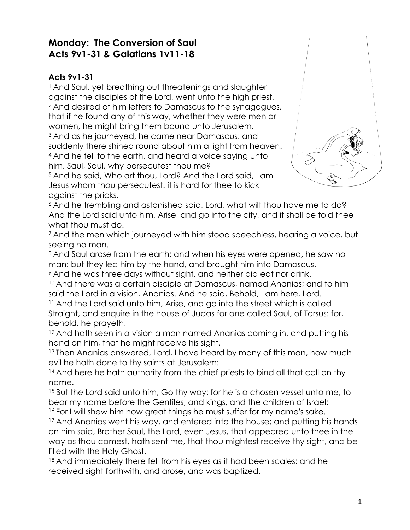# **Monday: The Conversion of Saul Acts 9v1-31 & Galatians 1v11-18**

### **Acts 9v1-31**

<sup>1</sup> And Saul, yet breathing out threatenings and slaughter against the disciples of the Lord, went unto the high priest, <sup>2</sup> And desired of him letters to Damascus to the synagogues, that if he found any of this way, whether they were men or women, he might bring them bound unto Jerusalem. <sup>3</sup> And as he journeyed, he came near Damascus: and suddenly there shined round about him a light from heaven: <sup>4</sup> And he fell to the earth, and heard a voice saying unto him, Saul, Saul, why persecutest thou me?



<sup>5</sup> And he said, Who art thou, Lord? And the Lord said, I am Jesus whom thou persecutest: it is hard for thee to kick against the pricks.

<sup>6</sup> And he trembling and astonished said, Lord, what wilt thou have me to do? And the Lord said unto him, Arise, and go into the city, and it shall be told thee what thou must do.

<sup>7</sup> And the men which journeyed with him stood speechless, hearing a voice, but seeing no man.

8 And Saul arose from the earth; and when his eyes were opened, he saw no man: but they led him by the hand, and brought him into Damascus.

<sup>9</sup> And he was three days without sight, and neither did eat nor drink.

<sup>10</sup> And there was a certain disciple at Damascus, named Ananias; and to him said the Lord in a vision, Ananias. And he said, Behold, I am here, Lord.

<sup>11</sup> And the Lord said unto him, Arise, and go into the street which is called Straight, and enquire in the house of Judas for one called Saul, of Tarsus: for, behold, he prayeth,

<sup>12</sup> And hath seen in a vision a man named Ananias coming in, and putting his hand on him, that he might receive his sight.

<sup>13</sup> Then Ananias answered, Lord, I have heard by many of this man, how much evil he hath done to thy saints at Jerusalem:

<sup>14</sup> And here he hath authority from the chief priests to bind all that call on thy name.

<sup>15</sup> But the Lord said unto him, Go thy way: for he is a chosen vessel unto me, to bear my name before the Gentiles, and kings, and the children of Israel:

<sup>16</sup> For I will shew him how great things he must suffer for my name's sake.

<sup>17</sup> And Ananias went his way, and entered into the house; and putting his hands on him said, Brother Saul, the Lord, even Jesus, that appeared unto thee in the way as thou camest, hath sent me, that thou mightest receive thy sight, and be filled with the Holy Ghost.

<sup>18</sup> And immediately there fell from his eyes as it had been scales: and he received sight forthwith, and arose, and was baptized.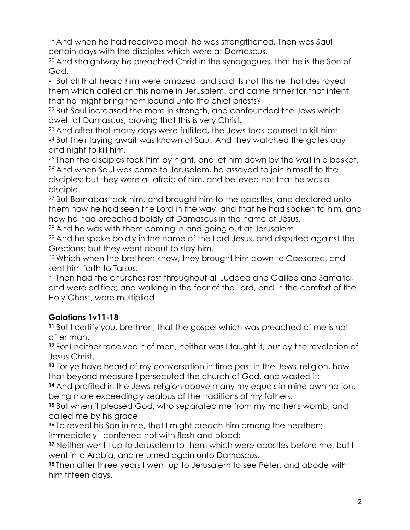<sup>19</sup> And when he had received meat, he was strenathened. Then was Saul certain days with the disciples which were at Damascus.

<sup>20</sup> And straightway he preached Christ in the synagogues, that he is the Son of God.

<sup>21</sup> But all that heard him were amazed, and said; Is not this he that destroyed them which called on this name in Jerusalem, and came hither for that intent, that he might bring them bound unto the chief priests?

<sup>22</sup> But Saul increased the more in strength, and confounded the Jews which dwelt at Damascus, proving that this is very Christ.

<sup>23</sup> And after that many days were fulfilled, the Jews took counsel to kill him: <sup>24</sup> But their laying await was known of Saul. And they watched the gates day and night to kill him.

<sup>25</sup> Then the disciples took him by night, and let him down by the wall in a basket. <sup>26</sup> And when Saul was come to Jerusalem, he assayed to join himself to the disciples: but they were all afraid of him, and believed not that he was a disciple.

<sup>27</sup> But Barnabas took him, and brought him to the apostles, and declared unto them how he had seen the Lord in the way, and that he had spoken to him, and how he had preached boldly at Damascus in the name of Jesus.

<sup>28</sup> And he was with them coming in and going out at Jerusalem.

<sup>29</sup> And he spake boldly in the name of the Lord Jesus, and disputed against the Grecians: but they went about to slay him.

<sup>30</sup> Which when the brethren knew, they brought him down to Caesarea, and sent him forth to Tarsus.

<sup>31</sup> Then had the churches rest throughout all Judaea and Galilee and Samaria, and were edified; and walking in the fear of the Lord, and in the comfort of the Holy Ghost, were multiplied.

## **Galatians 1v11-18**

**<sup>11</sup>** But I certify you, brethren, that the gospel which was preached of me is not after man.

**<sup>12</sup>** For I neither received it of man, neither was I taught it, but by the revelation of Jesus Christ.

**<sup>13</sup>** For ye have heard of my conversation in time past in the Jews' religion, how that beyond measure I persecuted the church of God, and wasted it:

**<sup>14</sup>** And profited in the Jews' religion above many my equals in mine own nation, being more exceedingly zealous of the traditions of my fathers.

**<sup>15</sup>** But when it pleased God, who separated me from my mother's womb, and called me by his grace,

**<sup>16</sup>** To reveal his Son in me, that I might preach him among the heathen; immediately I conferred not with flesh and blood:

**<sup>17</sup>** Neither went I up to Jerusalem to them which were apostles before me; but I went into Arabia, and returned again unto Damascus.

**<sup>18</sup>** Then after three years I went up to Jerusalem to see Peter, and abode with him fifteen days.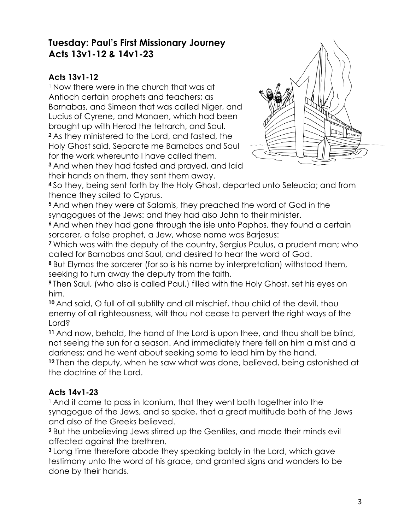# **Tuesday: Paul's First Missionary Journey Acts 13v1-12 & 14v1-23**

## **Acts 13v1-12**

<sup>1</sup> Now there were in the church that was at Antioch certain prophets and teachers; as Barnabas, and Simeon that was called Niger, and Lucius of Cyrene, and Manaen, which had been brought up with Herod the tetrarch, and Saul. **<sup>2</sup>** As they ministered to the Lord, and fasted, the Holy Ghost said, Separate me Barnabas and Saul for the work whereunto I have called them.

**<sup>3</sup>** And when they had fasted and prayed, and laid their hands on them, they sent them away.



**<sup>4</sup>** So they, being sent forth by the Holy Ghost, departed unto Seleucia; and from thence they sailed to Cyprus.

**<sup>5</sup>** And when they were at Salamis, they preached the word of God in the synagogues of the Jews: and they had also John to their minister.

**<sup>6</sup>** And when they had gone through the isle unto Paphos, they found a certain sorcerer, a false prophet, a Jew, whose name was Barjesus:

**<sup>7</sup>** Which was with the deputy of the country, Sergius Paulus, a prudent man; who called for Barnabas and Saul, and desired to hear the word of God.

**<sup>8</sup>** But Elymas the sorcerer (for so is his name by interpretation) withstood them, seeking to turn away the deputy from the faith.

**<sup>9</sup>** Then Saul, (who also is called Paul,) filled with the Holy Ghost, set his eyes on him.

**<sup>10</sup>** And said, O full of all subtilty and all mischief, thou child of the devil, thou enemy of all righteousness, wilt thou not cease to pervert the right ways of the Lord?

**<sup>11</sup>** And now, behold, the hand of the Lord is upon thee, and thou shalt be blind, not seeing the sun for a season. And immediately there fell on him a mist and a darkness; and he went about seeking some to lead him by the hand.

**<sup>12</sup>** Then the deputy, when he saw what was done, believed, being astonished at the doctrine of the Lord.

## **Acts 14v1-23**

<sup>1</sup> And it came to pass in Iconium, that they went both together into the synagogue of the Jews, and so spake, that a great multitude both of the Jews and also of the Greeks believed.

**<sup>2</sup>** But the unbelieving Jews stirred up the Gentiles, and made their minds evil affected against the brethren.

**<sup>3</sup>** Long time therefore abode they speaking boldly in the Lord, which gave testimony unto the word of his grace, and granted signs and wonders to be done by their hands.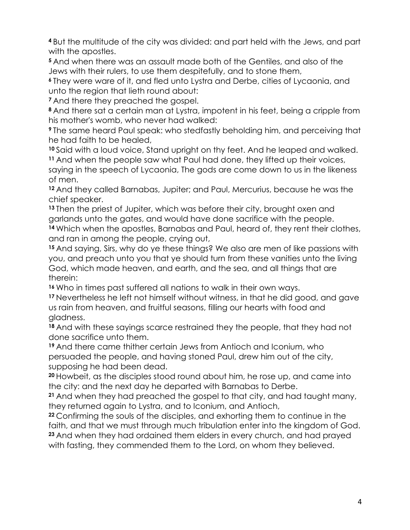**<sup>4</sup>** But the multitude of the city was divided: and part held with the Jews, and part with the apostles.

**<sup>5</sup>** And when there was an assault made both of the Gentiles, and also of the Jews with their rulers, to use them despitefully, and to stone them,

**<sup>6</sup>** They were ware of it, and fled unto Lystra and Derbe, cities of Lycaonia, and unto the region that lieth round about:

**<sup>7</sup>** And there they preached the gospel.

**<sup>8</sup>** And there sat a certain man at Lystra, impotent in his feet, being a cripple from his mother's womb, who never had walked:

**<sup>9</sup>** The same heard Paul speak: who stedfastly beholding him, and perceiving that he had faith to be healed,

**<sup>10</sup>** Said with a loud voice, Stand upright on thy feet. And he leaped and walked. **<sup>11</sup>** And when the people saw what Paul had done, they lifted up their voices, saying in the speech of Lycaonia, The gods are come down to us in the likeness

of men.

**<sup>12</sup>** And they called Barnabas, Jupiter; and Paul, Mercurius, because he was the chief speaker.

**<sup>13</sup>** Then the priest of Jupiter, which was before their city, brought oxen and garlands unto the gates, and would have done sacrifice with the people. **<sup>14</sup>** Which when the apostles, Barnabas and Paul, heard of, they rent their clothes, and ran in among the people, crying out,

**<sup>15</sup>** And saying, Sirs, why do ye these things? We also are men of like passions with you, and preach unto you that ye should turn from these vanities unto the living God, which made heaven, and earth, and the sea, and all things that are therein:

**<sup>16</sup>** Who in times past suffered all nations to walk in their own ways.

**<sup>17</sup>** Nevertheless he left not himself without witness, in that he did good, and gave us rain from heaven, and fruitful seasons, filling our hearts with food and gladness.

**<sup>18</sup>** And with these sayings scarce restrained they the people, that they had not done sacrifice unto them.

**<sup>19</sup>** And there came thither certain Jews from Antioch and Iconium, who persuaded the people, and having stoned Paul, drew him out of the city, supposing he had been dead.

**<sup>20</sup>** Howbeit, as the disciples stood round about him, he rose up, and came into the city: and the next day he departed with Barnabas to Derbe.

**<sup>21</sup>** And when they had preached the gospel to that city, and had taught many, they returned again to Lystra, and to Iconium, and Antioch,

**<sup>22</sup>** Confirming the souls of the disciples, and exhorting them to continue in the faith, and that we must through much tribulation enter into the kingdom of God. **<sup>23</sup>** And when they had ordained them elders in every church, and had prayed with fasting, they commended them to the Lord, on whom they believed.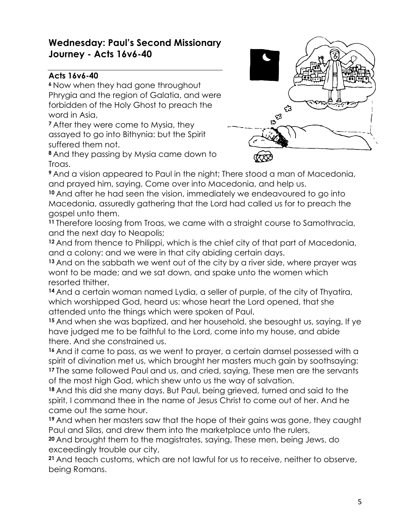# **Wednesday: Paul's Second Missionary Journey - Acts 16v6-40**

## **Acts 16v6-40**

**<sup>6</sup>** Now when they had gone throughout Phrygia and the region of Galatia, and were forbidden of the Holy Ghost to preach the word in Asia,

**<sup>7</sup>** After they were come to Mysia, they assayed to go into Bithynia: but the Spirit suffered them not.



**<sup>8</sup>** And they passing by Mysia came down to Troas.

**<sup>9</sup>** And a vision appeared to Paul in the night; There stood a man of Macedonia, and prayed him, saying, Come over into Macedonia, and help us.

**<sup>10</sup>** And after he had seen the vision, immediately we endeavoured to go into Macedonia, assuredly gathering that the Lord had called us for to preach the gospel unto them.

**<sup>11</sup>** Therefore loosing from Troas, we came with a straight course to Samothracia, and the next day to Neapolis;

**<sup>12</sup>** And from thence to Philippi, which is the chief city of that part of Macedonia, and a colony: and we were in that city abiding certain days.

**<sup>13</sup>** And on the sabbath we went out of the city by a river side, where prayer was wont to be made; and we sat down, and spake unto the women which resorted thither.

**<sup>14</sup>** And a certain woman named Lydia, a seller of purple, of the city of Thyatira, which worshipped God, heard us: whose heart the Lord opened, that she attended unto the things which were spoken of Paul.

**<sup>15</sup>** And when she was baptized, and her household, she besought us, saying, If ye have judged me to be faithful to the Lord, come into my house, and abide there. And she constrained us.

**<sup>16</sup>** And it came to pass, as we went to prayer, a certain damsel possessed with a spirit of divination met us, which brought her masters much gain by soothsaying: **<sup>17</sup>** The same followed Paul and us, and cried, saying, These men are the servants of the most high God, which shew unto us the way of salvation.

**<sup>18</sup>** And this did she many days. But Paul, being grieved, turned and said to the spirit, I command thee in the name of Jesus Christ to come out of her. And he came out the same hour.

**<sup>19</sup>** And when her masters saw that the hope of their gains was gone, they caught Paul and Silas, and drew them into the marketplace unto the rulers,

**<sup>20</sup>** And brought them to the magistrates, saying, These men, being Jews, do exceedingly trouble our city,

**<sup>21</sup>** And teach customs, which are not lawful for us to receive, neither to observe, being Romans.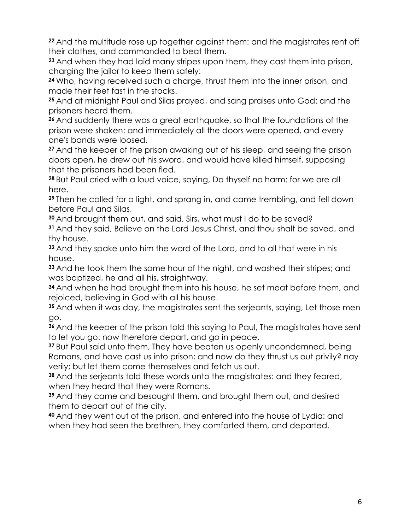**<sup>22</sup>** And the multitude rose up together against them: and the magistrates rent off their clothes, and commanded to beat them.

**<sup>23</sup>** And when they had laid many stripes upon them, they cast them into prison, charging the jailor to keep them safely:

**<sup>24</sup>** Who, having received such a charge, thrust them into the inner prison, and made their feet fast in the stocks.

**<sup>25</sup>** And at midnight Paul and Silas prayed, and sang praises unto God: and the prisoners heard them.

**<sup>26</sup>** And suddenly there was a great earthquake, so that the foundations of the prison were shaken: and immediately all the doors were opened, and every one's bands were loosed.

**<sup>27</sup>** And the keeper of the prison awaking out of his sleep, and seeing the prison doors open, he drew out his sword, and would have killed himself, supposing that the prisoners had been fled.

**<sup>28</sup>** But Paul cried with a loud voice, saying, Do thyself no harm: for we are all here.

**<sup>29</sup>** Then he called for a light, and sprang in, and came trembling, and fell down before Paul and Silas,

**<sup>30</sup>** And brought them out, and said, Sirs, what must I do to be saved?

**<sup>31</sup>** And they said, Believe on the Lord Jesus Christ, and thou shalt be saved, and thy house.

**<sup>32</sup>** And they spake unto him the word of the Lord, and to all that were in his house.

**<sup>33</sup>** And he took them the same hour of the night, and washed their stripes; and was baptized, he and all his, straightway.

**<sup>34</sup>** And when he had brought them into his house, he set meat before them, and rejoiced, believing in God with all his house.

**<sup>35</sup>** And when it was day, the magistrates sent the serjeants, saying, Let those men go.

**<sup>36</sup>** And the keeper of the prison told this saying to Paul, The magistrates have sent to let you go: now therefore depart, and go in peace.

**<sup>37</sup>** But Paul said unto them, They have beaten us openly uncondemned, being Romans, and have cast us into prison; and now do they thrust us out privily? nay verily; but let them come themselves and fetch us out.

**<sup>38</sup>** And the serjeants told these words unto the magistrates: and they feared, when they heard that they were Romans.

**<sup>39</sup>** And they came and besought them, and brought them out, and desired them to depart out of the city.

**<sup>40</sup>** And they went out of the prison, and entered into the house of Lydia: and when they had seen the brethren, they comforted them, and departed.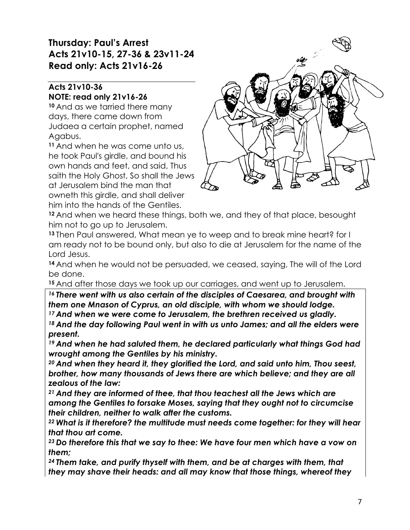# **Thursday: Paul's Arrest Acts 21v10-15, 27-36 & 23v11-24 Read only: Acts 21v16-26**

#### **Acts 21v10-36 NOTE: read only 21v16-26**

**<sup>10</sup>** And as we tarried there many days, there came down from Judaea a certain prophet, named Agabus.

**<sup>11</sup>** And when he was come unto us, he took Paul's girdle, and bound his own hands and feet, and said, Thus saith the Holy Ghost, So shall the Jews at Jerusalem bind the man that owneth this girdle, and shall deliver him into the hands of the Gentiles.



**<sup>12</sup>** And when we heard these things, both we, and they of that place, besought him not to go up to Jerusalem.

**<sup>13</sup>** Then Paul answered, What mean ye to weep and to break mine heart? for I am ready not to be bound only, but also to die at Jerusalem for the name of the Lord Jesus.

**<sup>14</sup>** And when he would not be persuaded, we ceased, saying, The will of the Lord be done.

**<sup>15</sup>** And after those days we took up our carriages, and went up to Jerusalem.

*<sup>16</sup> There went with us also certain of the disciples of Caesarea, and brought with them one Mnason of Cyprus, an old disciple, with whom we should lodge.*

*<sup>17</sup> And when we were come to Jerusalem, the brethren received us gladly.*

*<sup>18</sup> And the day following Paul went in with us unto James; and all the elders were present.*

*<sup>19</sup> And when he had saluted them, he declared particularly what things God had wrought among the Gentiles by his ministry.*

*<sup>20</sup> And when they heard it, they glorified the Lord, and said unto him, Thou seest, brother, how many thousands of Jews there are which believe; and they are all zealous of the law:*

*<sup>21</sup> And they are informed of thee, that thou teachest all the Jews which are among the Gentiles to forsake Moses, saying that they ought not to circumcise their children, neither to walk after the customs.*

*<sup>22</sup> What is it therefore? the multitude must needs come together: for they will hear that thou art come.*

*<sup>23</sup> Do therefore this that we say to thee: We have four men which have a vow on them;*

*<sup>24</sup> Them take, and purify thyself with them, and be at charges with them, that they may shave their heads: and all may know that those things, whereof they*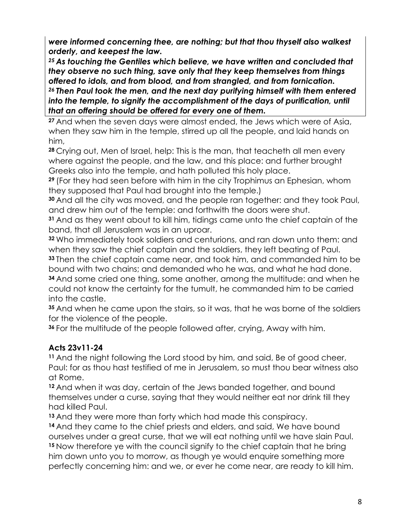*were informed concerning thee, are nothing; but that thou thyself also walkest orderly, and keepest the law.*

*<sup>25</sup> As touching the Gentiles which believe, we have written and concluded that they observe no such thing, save only that they keep themselves from things offered to idols, and from blood, and from strangled, and from fornication. <sup>26</sup> Then Paul took the men, and the next day purifying himself with them entered into the temple, to signify the accomplishment of the days of purification, until that an offering should be offered for every one of them.*

**<sup>27</sup>** And when the seven days were almost ended, the Jews which were of Asia, when they saw him in the temple, stirred up all the people, and laid hands on him,

**<sup>28</sup>** Crying out, Men of Israel, help: This is the man, that teacheth all men every where against the people, and the law, and this place: and further brought Greeks also into the temple, and hath polluted this holy place.

**<sup>29</sup>** (For they had seen before with him in the city Trophimus an Ephesian, whom they supposed that Paul had brought into the temple.)

**<sup>30</sup>** And all the city was moved, and the people ran together: and they took Paul, and drew him out of the temple: and forthwith the doors were shut.

**<sup>31</sup>** And as they went about to kill him, tidings came unto the chief captain of the band, that all Jerusalem was in an uproar.

**<sup>32</sup>** Who immediately took soldiers and centurions, and ran down unto them: and when they saw the chief captain and the soldiers, they left beating of Paul.

**<sup>33</sup>** Then the chief captain came near, and took him, and commanded him to be bound with two chains; and demanded who he was, and what he had done.

**<sup>34</sup>** And some cried one thing, some another, among the multitude: and when he could not know the certainty for the tumult, he commanded him to be carried into the castle.

**<sup>35</sup>** And when he came upon the stairs, so it was, that he was borne of the soldiers for the violence of the people.

**<sup>36</sup>** For the multitude of the people followed after, crying, Away with him.

## **Acts 23v11-24**

**<sup>11</sup>** And the night following the Lord stood by him, and said, Be of good cheer, Paul: for as thou hast testified of me in Jerusalem, so must thou bear witness also at Rome.

**<sup>12</sup>** And when it was day, certain of the Jews banded together, and bound themselves under a curse, saying that they would neither eat nor drink till they had killed Paul.

**<sup>13</sup>** And they were more than forty which had made this conspiracy.

**<sup>14</sup>** And they came to the chief priests and elders, and said, We have bound ourselves under a great curse, that we will eat nothing until we have slain Paul. **<sup>15</sup>** Now therefore ye with the council signify to the chief captain that he bring him down unto you to morrow, as though ye would enquire something more perfectly concerning him: and we, or ever he come near, are ready to kill him.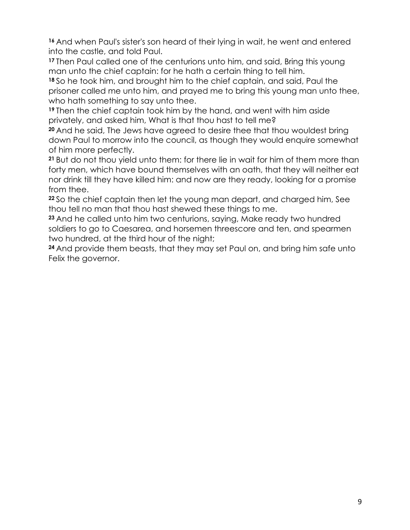**<sup>16</sup>** And when Paul's sister's son heard of their lying in wait, he went and entered into the castle, and told Paul.

**<sup>17</sup>** Then Paul called one of the centurions unto him, and said, Bring this young man unto the chief captain: for he hath a certain thing to tell him.

**<sup>18</sup>** So he took him, and brought him to the chief captain, and said, Paul the prisoner called me unto him, and prayed me to bring this young man unto thee, who hath something to say unto thee.

**<sup>19</sup>** Then the chief captain took him by the hand, and went with him aside privately, and asked him, What is that thou hast to tell me?

**<sup>20</sup>** And he said, The Jews have agreed to desire thee that thou wouldest bring down Paul to morrow into the council, as though they would enquire somewhat of him more perfectly.

**<sup>21</sup>** But do not thou yield unto them: for there lie in wait for him of them more than forty men, which have bound themselves with an oath, that they will neither eat nor drink till they have killed him: and now are they ready, looking for a promise from thee.

**<sup>22</sup>** So the chief captain then let the young man depart, and charged him, See thou tell no man that thou hast shewed these things to me.

**<sup>23</sup>** And he called unto him two centurions, saying, Make ready two hundred soldiers to go to Caesarea, and horsemen threescore and ten, and spearmen two hundred, at the third hour of the night;

**<sup>24</sup>** And provide them beasts, that they may set Paul on, and bring him safe unto Felix the governor.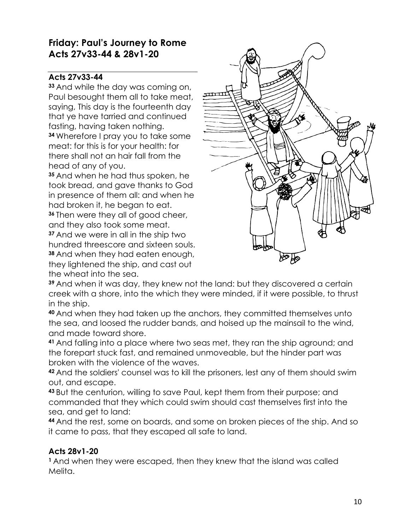# **Friday: Paul's Journey to Rome Acts 27v33-44 & 28v1-20**

#### **Acts 27v33-44**

**<sup>33</sup>** And while the day was coming on, Paul besought them all to take meat, saying, This day is the fourteenth day that ye have tarried and continued fasting, having taken nothing. **<sup>34</sup>** Wherefore I pray you to take some meat: for this is for your health: for there shall not an hair fall from the head of any of you.

**<sup>35</sup>** And when he had thus spoken, he took bread, and gave thanks to God in presence of them all: and when he had broken it, he began to eat.

**<sup>36</sup>** Then were they all of good cheer, and they also took some meat. **<sup>37</sup>** And we were in all in the ship two

hundred threescore and sixteen souls. **<sup>38</sup>** And when they had eaten enough, they lightened the ship, and cast out the wheat into the sea.



**<sup>39</sup>** And when it was day, they knew not the land: but they discovered a certain creek with a shore, into the which they were minded, if it were possible, to thrust in the ship.

**<sup>40</sup>** And when they had taken up the anchors, they committed themselves unto the sea, and loosed the rudder bands, and hoised up the mainsail to the wind, and made toward shore.

**<sup>41</sup>** And falling into a place where two seas met, they ran the ship aground; and the forepart stuck fast, and remained unmoveable, but the hinder part was broken with the violence of the waves.

**<sup>42</sup>** And the soldiers' counsel was to kill the prisoners, lest any of them should swim out, and escape.

**<sup>43</sup>** But the centurion, willing to save Paul, kept them from their purpose; and commanded that they which could swim should cast themselves first into the sea, and get to land:

**<sup>44</sup>** And the rest, some on boards, and some on broken pieces of the ship. And so it came to pass, that they escaped all safe to land.

## **Acts 28v1-20**

**<sup>1</sup>** And when they were escaped, then they knew that the island was called Melita.